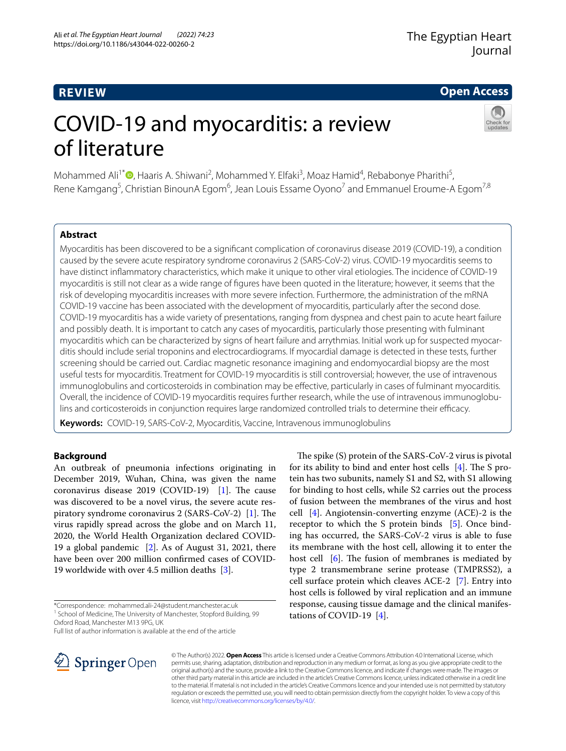# **REVIEW**

## **Open Access**

# COVID-19 and myocarditis: a review of literature



Mohammed Ali<sup>1[\\*](http://orcid.org/0000-0003-3933-0333)</sup><sup>®</sup>, Haaris A. Shiwani<sup>2</sup>, Mohammed Y. Elfaki<sup>3</sup>, Moaz Hamid<sup>4</sup>, Rebabonye Pharithi<sup>5</sup>, Rene Kamgang<sup>5</sup>, Christian BinounA Egom<sup>6</sup>, Jean Louis Essame Oyono<sup>7</sup> and Emmanuel Eroume-A Egom<sup>7,8</sup>

## **Abstract**

Myocarditis has been discovered to be a signifcant complication of coronavirus disease 2019 (COVID-19), a condition caused by the severe acute respiratory syndrome coronavirus 2 (SARS-CoV-2) virus. COVID-19 myocarditis seems to have distinct infammatory characteristics, which make it unique to other viral etiologies. The incidence of COVID-19 myocarditis is still not clear as a wide range of fgures have been quoted in the literature; however, it seems that the risk of developing myocarditis increases with more severe infection. Furthermore, the administration of the mRNA COVID-19 vaccine has been associated with the development of myocarditis, particularly after the second dose. COVID-19 myocarditis has a wide variety of presentations, ranging from dyspnea and chest pain to acute heart failure and possibly death. It is important to catch any cases of myocarditis, particularly those presenting with fulminant myocarditis which can be characterized by signs of heart failure and arrythmias. Initial work up for suspected myocarditis should include serial troponins and electrocardiograms. If myocardial damage is detected in these tests, further screening should be carried out. Cardiac magnetic resonance imagining and endomyocardial biopsy are the most useful tests for myocarditis. Treatment for COVID-19 myocarditis is still controversial; however, the use of intravenous immunoglobulins and corticosteroids in combination may be efective, particularly in cases of fulminant myocarditis. Overall, the incidence of COVID-19 myocarditis requires further research, while the use of intravenous immunoglobulins and corticosteroids in conjunction requires large randomized controlled trials to determine their efficacy.

**Keywords:** COVID-19, SARS-CoV-2, Myocarditis, Vaccine, Intravenous immunoglobulins

## **Background**

An outbreak of pneumonia infections originating in December 2019, Wuhan, China, was given the name coronavirus disease  $2019$  (COVID-19) [[1\]](#page-6-0). The cause was discovered to be a novel virus, the severe acute respiratory syndrome coronavirus  $2$  (SARS-CoV-2) [\[1](#page-6-0)]. The virus rapidly spread across the globe and on March 11, 2020, the World Health Organization declared COVID-19 a global pandemic [\[2](#page-6-1)]. As of August 31, 2021, there have been over 200 million confrmed cases of COVID-19 worldwide with over 4.5 million deaths [\[3](#page-6-2)].

\*Correspondence: mohammed.ali-24@student.manchester.ac.uk <sup>1</sup> School of Medicine, The University of Manchester, Stopford Building, 99

Full list of author information is available at the end of the article



The spike (S) protein of the SARS-CoV-2 virus is pivotal for its ability to bind and enter host cells  $[4]$  $[4]$ . The S protein has two subunits, namely S1 and S2, with S1 allowing for binding to host cells, while S2 carries out the process of fusion between the membranes of the virus and host cell [[4](#page-6-3)]. Angiotensin-converting enzyme (ACE)-2 is the receptor to which the S protein binds [\[5](#page-6-4)]. Once binding has occurred, the SARS-CoV-2 virus is able to fuse its membrane with the host cell, allowing it to enter the host cell  $[6]$  $[6]$ . The fusion of membranes is mediated by type 2 transmembrane serine protease (TMPRSS2), a cell surface protein which cleaves ACE-2 [\[7](#page-6-6)]. Entry into host cells is followed by viral replication and an immune response, causing tissue damage and the clinical manifestations of COVID-19  $[4]$  $[4]$  $[4]$ .

© The Author(s) 2022. **Open Access** This article is licensed under a Creative Commons Attribution 4.0 International License, which permits use, sharing, adaptation, distribution and reproduction in any medium or format, as long as you give appropriate credit to the original author(s) and the source, provide a link to the Creative Commons licence, and indicate if changes were made. The images or other third party material in this article are included in the article's Creative Commons licence, unless indicated otherwise in a credit line to the material. If material is not included in the article's Creative Commons licence and your intended use is not permitted by statutory regulation or exceeds the permitted use, you will need to obtain permission directly from the copyright holder. To view a copy of this licence, visit [http://creativecommons.org/licenses/by/4.0/.](http://creativecommons.org/licenses/by/4.0/)

Oxford Road, Manchester M13 9PG, UK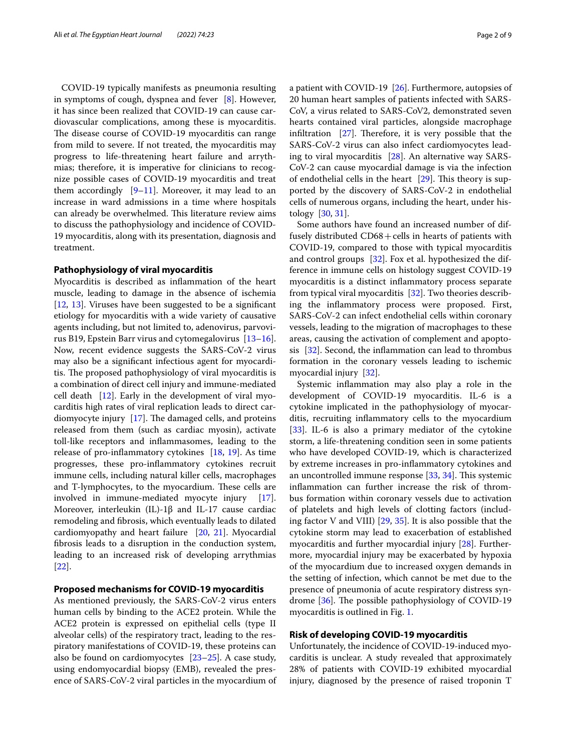COVID-19 typically manifests as pneumonia resulting in symptoms of cough, dyspnea and fever [[8\]](#page-6-7). However, it has since been realized that COVID-19 can cause cardiovascular complications, among these is myocarditis. The disease course of COVID-19 myocarditis can range from mild to severe. If not treated, the myocarditis may progress to life-threatening heart failure and arrythmias; therefore, it is imperative for clinicians to recognize possible cases of COVID-19 myocarditis and treat them accordingly  $[9-11]$  $[9-11]$ . Moreover, it may lead to an increase in ward admissions in a time where hospitals can already be overwhelmed. This literature review aims to discuss the pathophysiology and incidence of COVID-19 myocarditis, along with its presentation, diagnosis and treatment.

## **Pathophysiology of viral myocarditis**

Myocarditis is described as infammation of the heart muscle, leading to damage in the absence of ischemia [[12,](#page-6-10) [13](#page-6-11)]. Viruses have been suggested to be a signifcant etiology for myocarditis with a wide variety of causative agents including, but not limited to, adenovirus, parvovirus B19, Epstein Barr virus and cytomegalovirus [[13](#page-6-11)[–16](#page-6-12)]. Now, recent evidence suggests the SARS-CoV-2 virus may also be a signifcant infectious agent for myocarditis. The proposed pathophysiology of viral myocarditis is a combination of direct cell injury and immune-mediated cell death  $[12]$  $[12]$ . Early in the development of viral myocarditis high rates of viral replication leads to direct car-diomyocyte injury [\[17](#page-6-13)]. The damaged cells, and proteins released from them (such as cardiac myosin), activate toll-like receptors and infammasomes, leading to the release of pro-infammatory cytokines [\[18](#page-6-14), [19](#page-6-15)]. As time progresses, these pro-infammatory cytokines recruit immune cells, including natural killer cells, macrophages and T-lymphocytes, to the myocardium. These cells are involved in immune-mediated myocyte injury [\[17](#page-6-13)]. Moreover, interleukin (IL)-1β and IL-17 cause cardiac remodeling and fbrosis, which eventually leads to dilated cardiomyopathy and heart failure [[20,](#page-6-16) [21\]](#page-6-17). Myocardial fbrosis leads to a disruption in the conduction system, leading to an increased risk of developing arrythmias [[22\]](#page-6-18).

## **Proposed mechanisms for COVID‑19 myocarditis**

As mentioned previously, the SARS-CoV-2 virus enters human cells by binding to the ACE2 protein. While the ACE2 protein is expressed on epithelial cells (type II alveolar cells) of the respiratory tract, leading to the respiratory manifestations of COVID-19, these proteins can also be found on cardiomyocytes [[23](#page-6-19)[–25](#page-6-20)]. A case study, using endomyocardial biopsy (EMB), revealed the presence of SARS-CoV-2 viral particles in the myocardium of a patient with COVID-19 [[26\]](#page-6-21). Furthermore, autopsies of 20 human heart samples of patients infected with SARS-CoV, a virus related to SARS-CoV2, demonstrated seven hearts contained viral particles, alongside macrophage infiltration  $[27]$ . Therefore, it is very possible that the SARS-CoV-2 virus can also infect cardiomyocytes leading to viral myocarditis [[28](#page-6-23)]. An alternative way SARS-CoV-2 can cause myocardial damage is via the infection of endothelial cells in the heart  $[29]$  $[29]$ . This theory is supported by the discovery of SARS-CoV-2 in endothelial cells of numerous organs, including the heart, under histology [\[30,](#page-7-0) [31](#page-7-1)].

Some authors have found an increased number of diffusely distributed  $CD68 + cells$  in hearts of patients with COVID-19, compared to those with typical myocarditis and control groups [\[32](#page-7-2)]. Fox et al. hypothesized the difference in immune cells on histology suggest COVID-19 myocarditis is a distinct infammatory process separate from typical viral myocarditis [\[32](#page-7-2)]. Two theories describing the infammatory process were proposed. First, SARS-CoV-2 can infect endothelial cells within coronary vessels, leading to the migration of macrophages to these areas, causing the activation of complement and apoptosis [[32\]](#page-7-2). Second, the infammation can lead to thrombus formation in the coronary vessels leading to ischemic myocardial injury [[32\]](#page-7-2).

Systemic infammation may also play a role in the development of COVID-19 myocarditis. IL-6 is a cytokine implicated in the pathophysiology of myocarditis, recruiting infammatory cells to the myocardium [[33\]](#page-7-3). IL-6 is also a primary mediator of the cytokine storm, a life-threatening condition seen in some patients who have developed COVID-19, which is characterized by extreme increases in pro-infammatory cytokines and an uncontrolled immune response  $[33, 34]$  $[33, 34]$  $[33, 34]$ . This systemic infammation can further increase the risk of thrombus formation within coronary vessels due to activation of platelets and high levels of clotting factors (including factor V and VIII) [[29,](#page-6-24) [35](#page-7-5)]. It is also possible that the cytokine storm may lead to exacerbation of established myocarditis and further myocardial injury [[28\]](#page-6-23). Furthermore, myocardial injury may be exacerbated by hypoxia of the myocardium due to increased oxygen demands in the setting of infection, which cannot be met due to the presence of pneumonia of acute respiratory distress syndrome  $[36]$  $[36]$ . The possible pathophysiology of COVID-19 myocarditis is outlined in Fig. [1.](#page-2-0)

#### **Risk of developing COVID‑19 myocarditis**

Unfortunately, the incidence of COVID-19-induced myocarditis is unclear. A study revealed that approximately 28% of patients with COVID-19 exhibited myocardial injury, diagnosed by the presence of raised troponin T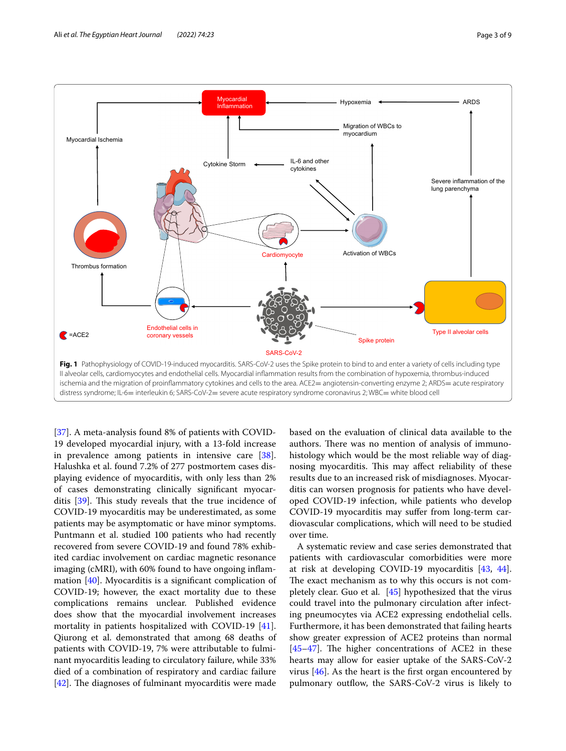

<span id="page-2-0"></span>[[37\]](#page-7-7). A meta-analysis found 8% of patients with COVID-19 developed myocardial injury, with a 13-fold increase in prevalence among patients in intensive care [\[38](#page-7-8)]. Halushka et al. found 7.2% of 277 postmortem cases displaying evidence of myocarditis, with only less than 2% of cases demonstrating clinically signifcant myocarditis  $[39]$  $[39]$  $[39]$ . This study reveals that the true incidence of COVID-19 myocarditis may be underestimated, as some patients may be asymptomatic or have minor symptoms. Puntmann et al. studied 100 patients who had recently recovered from severe COVID-19 and found 78% exhibited cardiac involvement on cardiac magnetic resonance imaging (cMRI), with 60% found to have ongoing infam-mation [\[40](#page-7-10)]. Myocarditis is a significant complication of COVID-19; however, the exact mortality due to these complications remains unclear. Published evidence does show that the myocardial involvement increases mortality in patients hospitalized with COVID-19 [\[41](#page-7-11)]. Qiurong et al. demonstrated that among 68 deaths of patients with COVID-19, 7% were attributable to fulminant myocarditis leading to circulatory failure, while 33% died of a combination of respiratory and cardiac failure [[42\]](#page-7-12). The diagnoses of fulminant myocarditis were made

based on the evaluation of clinical data available to the authors. There was no mention of analysis of immunohistology which would be the most reliable way of diagnosing myocarditis. This may affect reliability of these results due to an increased risk of misdiagnoses. Myocarditis can worsen prognosis for patients who have developed COVID-19 infection, while patients who develop COVID-19 myocarditis may sufer from long-term cardiovascular complications, which will need to be studied over time.

A systematic review and case series demonstrated that patients with cardiovascular comorbidities were more at risk at developing COVID-19 myocarditis [\[43](#page-7-13), [44](#page-7-14)]. The exact mechanism as to why this occurs is not completely clear. Guo et al. [\[45](#page-7-15)] hypothesized that the virus could travel into the pulmonary circulation after infecting pneumocytes via ACE2 expressing endothelial cells. Furthermore, it has been demonstrated that failing hearts show greater expression of ACE2 proteins than normal  $[45-47]$  $[45-47]$ . The higher concentrations of ACE2 in these hearts may allow for easier uptake of the SARS-CoV-2 virus  $[46]$  $[46]$ . As the heart is the first organ encountered by pulmonary outflow, the SARS-CoV-2 virus is likely to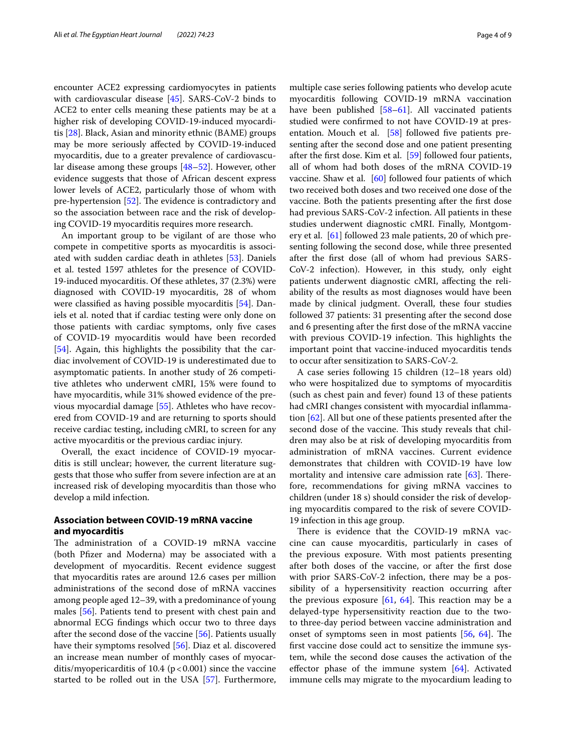encounter ACE2 expressing cardiomyocytes in patients with cardiovascular disease [\[45\]](#page-7-15). SARS-CoV-2 binds to ACE2 to enter cells meaning these patients may be at a higher risk of developing COVID-19-induced myocarditis [[28\]](#page-6-23). Black, Asian and minority ethnic (BAME) groups may be more seriously afected by COVID-19-induced myocarditis, due to a greater prevalence of cardiovascular disease among these groups [[48–](#page-7-18)[52\]](#page-7-19). However, other evidence suggests that those of African descent express lower levels of ACE2, particularly those of whom with pre-hypertension  $[52]$  $[52]$ . The evidence is contradictory and so the association between race and the risk of developing COVID-19 myocarditis requires more research.

An important group to be vigilant of are those who compete in competitive sports as myocarditis is associated with sudden cardiac death in athletes [\[53](#page-7-20)]. Daniels et al. tested 1597 athletes for the presence of COVID-19-induced myocarditis. Of these athletes, 37 (2.3%) were diagnosed with COVID-19 myocarditis, 28 of whom were classifed as having possible myocarditis [\[54](#page-7-21)]. Daniels et al. noted that if cardiac testing were only done on those patients with cardiac symptoms, only fve cases of COVID-19 myocarditis would have been recorded [[54\]](#page-7-21). Again, this highlights the possibility that the cardiac involvement of COVID-19 is underestimated due to asymptomatic patients. In another study of 26 competitive athletes who underwent cMRI, 15% were found to have myocarditis, while 31% showed evidence of the previous myocardial damage [\[55](#page-7-22)]. Athletes who have recovered from COVID-19 and are returning to sports should receive cardiac testing, including cMRI, to screen for any active myocarditis or the previous cardiac injury.

Overall, the exact incidence of COVID-19 myocarditis is still unclear; however, the current literature suggests that those who sufer from severe infection are at an increased risk of developing myocarditis than those who develop a mild infection.

## **Association between COVID‑19 mRNA vaccine and myocarditis**

The administration of a COVID-19 mRNA vaccine (both Pfizer and Moderna) may be associated with a development of myocarditis. Recent evidence suggest that myocarditis rates are around 12.6 cases per million administrations of the second dose of mRNA vaccines among people aged 12–39, with a predominance of young males [[56\]](#page-7-23). Patients tend to present with chest pain and abnormal ECG fndings which occur two to three days after the second dose of the vaccine [[56\]](#page-7-23). Patients usually have their symptoms resolved [\[56\]](#page-7-23). Diaz et al. discovered an increase mean number of monthly cases of myocarditis/myopericarditis of 10.4 ( $p < 0.001$ ) since the vaccine started to be rolled out in the USA [[57](#page-7-24)]. Furthermore,

multiple case series following patients who develop acute myocarditis following COVID-19 mRNA vaccination have been published [[58–](#page-7-25)[61\]](#page-7-26). All vaccinated patients studied were confrmed to not have COVID-19 at pres-entation. Mouch et al. [\[58](#page-7-25)] followed five patients presenting after the second dose and one patient presenting after the frst dose. Kim et al. [\[59\]](#page-7-27) followed four patients, all of whom had both doses of the mRNA COVID-19 vaccine. Shaw et al. [[60](#page-7-28)] followed four patients of which two received both doses and two received one dose of the vaccine. Both the patients presenting after the frst dose had previous SARS-CoV-2 infection. All patients in these studies underwent diagnostic cMRI. Finally, Montgomery et al. [\[61](#page-7-26)] followed 23 male patients, 20 of which presenting following the second dose, while three presented after the frst dose (all of whom had previous SARS-CoV-2 infection). However, in this study, only eight patients underwent diagnostic cMRI, afecting the reliability of the results as most diagnoses would have been made by clinical judgment. Overall, these four studies followed 37 patients: 31 presenting after the second dose and 6 presenting after the frst dose of the mRNA vaccine with previous COVID-19 infection. This highlights the important point that vaccine-induced myocarditis tends to occur after sensitization to SARS-CoV-2.

A case series following 15 children (12–18 years old) who were hospitalized due to symptoms of myocarditis (such as chest pain and fever) found 13 of these patients had cMRI changes consistent with myocardial infammation [[62\]](#page-7-29). All but one of these patients presented after the second dose of the vaccine. This study reveals that children may also be at risk of developing myocarditis from administration of mRNA vaccines. Current evidence demonstrates that children with COVID-19 have low mortality and intensive care admission rate  $[63]$  $[63]$ . Therefore, recommendations for giving mRNA vaccines to children (under 18 s) should consider the risk of developing myocarditis compared to the risk of severe COVID-19 infection in this age group.

There is evidence that the COVID-19 mRNA vaccine can cause myocarditis, particularly in cases of the previous exposure. With most patients presenting after both doses of the vaccine, or after the frst dose with prior SARS-CoV-2 infection, there may be a possibility of a hypersensitivity reaction occurring after the previous exposure  $[61, 64]$  $[61, 64]$  $[61, 64]$ . This reaction may be a delayed-type hypersensitivity reaction due to the twoto three-day period between vaccine administration and onset of symptoms seen in most patients  $[56, 64]$  $[56, 64]$  $[56, 64]$  $[56, 64]$ . The frst vaccine dose could act to sensitize the immune system, while the second dose causes the activation of the effector phase of the immune system [[64](#page-7-31)]. Activated immune cells may migrate to the myocardium leading to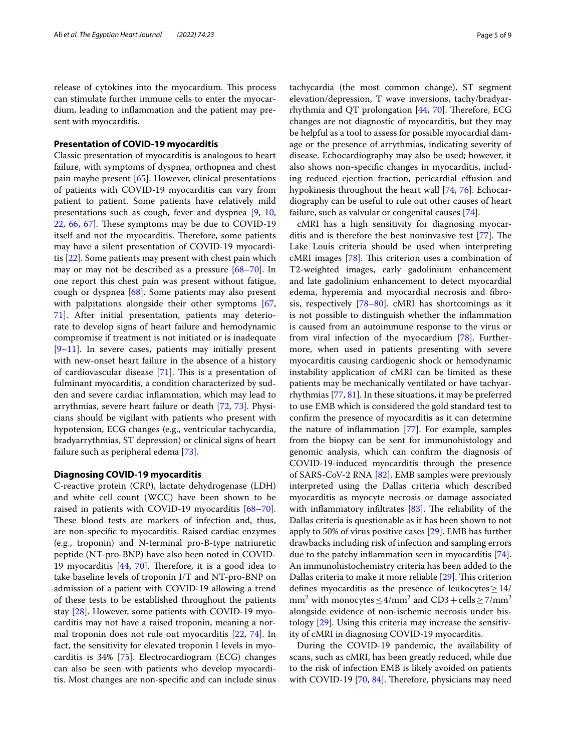release of cytokines into the myocardium. This process can stimulate further immune cells to enter the myocardium, leading to infammation and the patient may present with myocarditis.

## **Presentation of COVID‑19 myocarditis**

Classic presentation of myocarditis is analogous to heart failure, with symptoms of dyspnea, orthopnea and chest pain maybe present [[65\]](#page-7-32). However, clinical presentations of patients with COVID-19 myocarditis can vary from patient to patient. Some patients have relatively mild presentations such as cough, fever and dyspnea [\[9](#page-6-8), [10](#page-6-25),  $22, 66, 67$  $22, 66, 67$  $22, 66, 67$  $22, 66, 67$ . These symptoms may be due to COVID-19 itself and not the myocarditis. Therefore, some patients may have a silent presentation of COVID-19 myocarditis [[22\]](#page-6-18). Some patients may present with chest pain which may or may not be described as a pressure [\[68–](#page-7-35)[70\]](#page-7-36). In one report this chest pain was present without fatigue, cough or dyspnea [\[68\]](#page-7-35). Some patients may also present with palpitations alongside their other symptoms [\[67](#page-7-34), [71\]](#page-7-37). After initial presentation, patients may deteriorate to develop signs of heart failure and hemodynamic compromise if treatment is not initiated or is inadequate  $[9-11]$  $[9-11]$ . In severe cases, patients may initially present with new-onset heart failure in the absence of a history of cardiovascular disease  $[71]$  $[71]$ . This is a presentation of fulminant myocarditis, a condition characterized by sudden and severe cardiac infammation, which may lead to arrythmias, severe heart failure or death [\[72](#page-8-0), [73\]](#page-8-1). Physicians should be vigilant with patients who present with hypotension, ECG changes (e.g., ventricular tachycardia, bradyarrythmias, ST depression) or clinical signs of heart failure such as peripheral edema [\[73\]](#page-8-1).

#### **Diagnosing COVID‑19 myocarditis**

C-reactive protein (CRP), lactate dehydrogenase (LDH) and white cell count (WCC) have been shown to be raised in patients with COVID-19 myocarditis [[68](#page-7-35)[–70](#page-7-36)]. These blood tests are markers of infection and, thus, are non-specifc to myocarditis. Raised cardiac enzymes (e.g., troponin) and N-terminal pro-B-type natriuretic peptide (NT-pro-BNP) have also been noted in COVID-19 myocarditis  $[44, 70]$  $[44, 70]$  $[44, 70]$  $[44, 70]$ . Therefore, it is a good idea to take baseline levels of troponin I/T and NT-pro-BNP on admission of a patient with COVID-19 allowing a trend of these tests to be established throughout the patients stay [[28\]](#page-6-23). However, some patients with COVID-19 myocarditis may not have a raised troponin, meaning a normal troponin does not rule out myocarditis [\[22](#page-6-18), [74\]](#page-8-2). In fact, the sensitivity for elevated troponin I levels in myocarditis is 34% [[75\]](#page-8-3). Electrocardiogram (ECG) changes can also be seen with patients who develop myocarditis. Most changes are non-specifc and can include sinus tachycardia (the most common change), ST segment elevation/depression, T wave inversions, tachy/bradyarrhythmia and QT prolongation  $[44, 70]$  $[44, 70]$  $[44, 70]$  $[44, 70]$ . Therefore, ECG changes are not diagnostic of myocarditis, but they may be helpful as a tool to assess for possible myocardial damage or the presence of arrythmias, indicating severity of disease. Echocardiography may also be used; however, it also shows non-specifc changes in myocarditis, including reduced ejection fraction, pericardial efusion and hypokinesis throughout the heart wall [[74,](#page-8-2) [76\]](#page-8-4). Echocardiography can be useful to rule out other causes of heart failure, such as valvular or congenital causes [\[74\]](#page-8-2).

cMRI has a high sensitivity for diagnosing myocarditis and is therefore the best noninvasive test  $[77]$  $[77]$  $[77]$ . The Lake Louis criteria should be used when interpreting cMRI images [[78](#page-8-6)]. This criterion uses a combination of T2-weighted images, early gadolinium enhancement and late gadolinium enhancement to detect myocardial edema, hyperemia and myocardial necrosis and fbrosis, respectively [\[78–](#page-8-6)[80\]](#page-8-7). cMRI has shortcomings as it is not possible to distinguish whether the infammation is caused from an autoimmune response to the virus or from viral infection of the myocardium [\[78](#page-8-6)]. Furthermore, when used in patients presenting with severe myocarditis causing cardiogenic shock or hemodynamic instability application of cMRI can be limited as these patients may be mechanically ventilated or have tachyarrhythmias [\[77](#page-8-5), [81](#page-8-8)]. In these situations, it may be preferred to use EMB which is considered the gold standard test to confrm the presence of myocarditis as it can determine the nature of infammation [[77\]](#page-8-5). For example, samples from the biopsy can be sent for immunohistology and genomic analysis, which can confrm the diagnosis of COVID-19-induced myocarditis through the presence of SARS-CoV-2 RNA [[82\]](#page-8-9). EMB samples were previously interpreted using the Dallas criteria which described myocarditis as myocyte necrosis or damage associated with inflammatory infiltrates  $[83]$  $[83]$  $[83]$ . The reliability of the Dallas criteria is questionable as it has been shown to not apply to 50% of virus positive cases [[29\]](#page-6-24). EMB has further drawbacks including risk of infection and sampling errors due to the patchy infammation seen in myocarditis [\[74](#page-8-2)]. An immunohistochemistry criteria has been added to the Dallas criteria to make it more reliable [[29\]](#page-6-24). This criterion defines myocarditis as the presence of leukocytes  $\geq$  14/ mm<sup>2</sup> with monocytes  $\leq$  4/mm<sup>2</sup> and CD3 + cells  $\geq$  7/mm<sup>2</sup> alongside evidence of non-ischemic necrosis under histology [\[29](#page-6-24)]. Using this criteria may increase the sensitivity of cMRI in diagnosing COVID-19 myocarditis.

During the COVID-19 pandemic, the availability of scans, such as cMRI, has been greatly reduced, while due to the risk of infection EMB is likely avoided on patients with COVID-19  $[70, 84]$  $[70, 84]$  $[70, 84]$  $[70, 84]$ . Therefore, physicians may need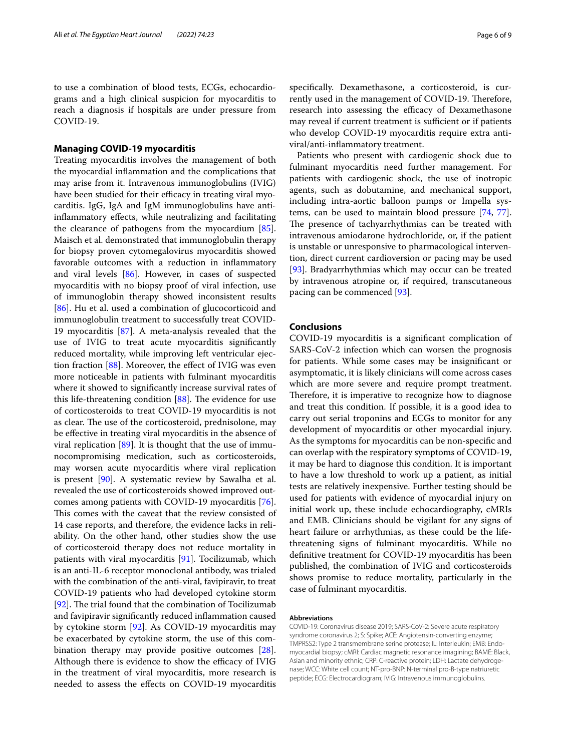to use a combination of blood tests, ECGs, echocardiograms and a high clinical suspicion for myocarditis to reach a diagnosis if hospitals are under pressure from COVID-19.

## **Managing COVID‑19 myocarditis**

Treating myocarditis involves the management of both the myocardial infammation and the complications that may arise from it. Intravenous immunoglobulins (IVIG) have been studied for their efficacy in treating viral myocarditis. IgG, IgA and IgM immunoglobulins have antiinfammatory efects, while neutralizing and facilitating the clearance of pathogens from the myocardium [\[85](#page-8-12)]. Maisch et al. demonstrated that immunoglobulin therapy for biopsy proven cytomegalovirus myocarditis showed favorable outcomes with a reduction in infammatory and viral levels [[86\]](#page-8-13). However, in cases of suspected myocarditis with no biopsy proof of viral infection, use of immunoglobin therapy showed inconsistent results [[86\]](#page-8-13). Hu et al. used a combination of glucocorticoid and immunoglobulin treatment to successfully treat COVID-19 myocarditis [[87\]](#page-8-14). A meta-analysis revealed that the use of IVIG to treat acute myocarditis signifcantly reduced mortality, while improving left ventricular ejection fraction [\[88](#page-8-15)]. Moreover, the efect of IVIG was even more noticeable in patients with fulminant myocarditis where it showed to signifcantly increase survival rates of this life-threatening condition  $[88]$  $[88]$  $[88]$ . The evidence for use of corticosteroids to treat COVID-19 myocarditis is not as clear. The use of the corticosteroid, prednisolone, may be efective in treating viral myocarditis in the absence of viral replication [[89\]](#page-8-16). It is thought that the use of immunocompromising medication, such as corticosteroids, may worsen acute myocarditis where viral replication is present  $[90]$ . A systematic review by Sawalha et al. revealed the use of corticosteroids showed improved outcomes among patients with COVID-19 myocarditis [\[76](#page-8-4)]. This comes with the caveat that the review consisted of 14 case reports, and therefore, the evidence lacks in reliability. On the other hand, other studies show the use of corticosteroid therapy does not reduce mortality in patients with viral myocarditis [[91\]](#page-8-18). Tocilizumab, which is an anti-IL-6 receptor monoclonal antibody, was trialed with the combination of the anti-viral, favipiravir, to treat COVID-19 patients who had developed cytokine storm [[92\]](#page-8-19). The trial found that the combination of Tocilizumab and favipiravir signifcantly reduced infammation caused by cytokine storm [[92](#page-8-19)]. As COVID-19 myocarditis may be exacerbated by cytokine storm, the use of this combination therapy may provide positive outcomes [\[28](#page-6-23)]. Although there is evidence to show the efficacy of IVIG in the treatment of viral myocarditis, more research is needed to assess the efects on COVID-19 myocarditis specifcally. Dexamethasone, a corticosteroid, is currently used in the management of COVID-19. Therefore, research into assessing the efficacy of Dexamethasone may reveal if current treatment is sufficient or if patients who develop COVID-19 myocarditis require extra antiviral/anti-infammatory treatment.

Patients who present with cardiogenic shock due to fulminant myocarditis need further management. For patients with cardiogenic shock, the use of inotropic agents, such as dobutamine, and mechanical support, including intra-aortic balloon pumps or Impella systems, can be used to maintain blood pressure [\[74](#page-8-2), [77](#page-8-5)]. The presence of tachyarrhythmias can be treated with intravenous amiodarone hydrochloride, or, if the patient is unstable or unresponsive to pharmacological intervention, direct current cardioversion or pacing may be used [[93\]](#page-8-20). Bradyarrhythmias which may occur can be treated by intravenous atropine or, if required, transcutaneous pacing can be commenced [\[93](#page-8-20)].

## **Conclusions**

COVID-19 myocarditis is a signifcant complication of SARS-CoV-2 infection which can worsen the prognosis for patients. While some cases may be insignifcant or asymptomatic, it is likely clinicians will come across cases which are more severe and require prompt treatment. Therefore, it is imperative to recognize how to diagnose and treat this condition. If possible, it is a good idea to carry out serial troponins and ECGs to monitor for any development of myocarditis or other myocardial injury. As the symptoms for myocarditis can be non-specifc and can overlap with the respiratory symptoms of COVID-19, it may be hard to diagnose this condition. It is important to have a low threshold to work up a patient, as initial tests are relatively inexpensive. Further testing should be used for patients with evidence of myocardial injury on initial work up, these include echocardiography, cMRIs and EMB. Clinicians should be vigilant for any signs of heart failure or arrhythmias, as these could be the lifethreatening signs of fulminant myocarditis. While no defnitive treatment for COVID-19 myocarditis has been published, the combination of IVIG and corticosteroids shows promise to reduce mortality, particularly in the case of fulminant myocarditis.

#### **Abbreviations**

COVID-19: Coronavirus disease 2019; SARS-CoV-2: Severe acute respiratory syndrome coronavirus 2; S: Spike; ACE: Angiotensin-converting enzyme; TMPRSS2: Type 2 transmembrane serine protease; IL: Interleukin; EMB: Endo‑ myocardial biopsy; cMRI: Cardiac magnetic resonance imagining; BAME: Black, Asian and minority ethnic; CRP: C-reactive protein; LDH: Lactate dehydrogenase; WCC: White cell count; NT-pro-BNP: N-terminal pro-B-type natriuretic peptide; ECG: Electrocardiogram; IVIG: Intravenous immunoglobulins.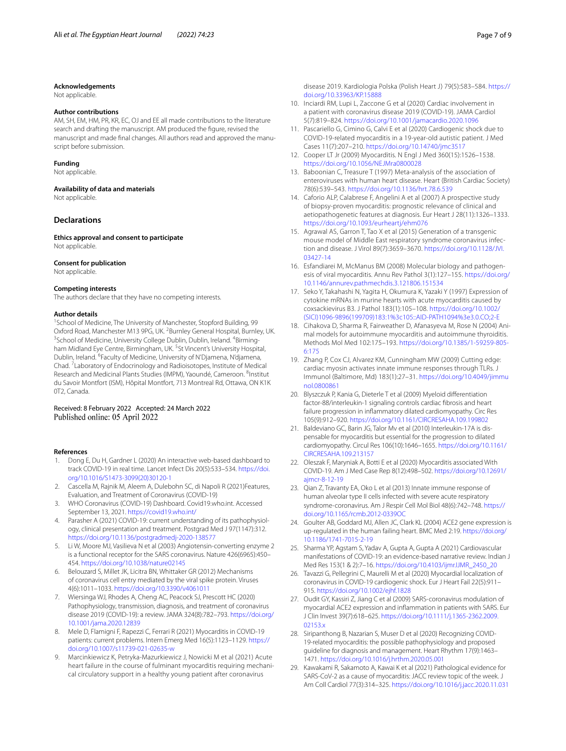#### **Acknowledgements**

Not applicable.

## **Author contributions**

AM, SH, EM, HM, PR, KR, EC, OJ and EE all made contributions to the literature search and drafting the manuscript. AM produced the fgure, revised the manuscript and made final changes. All authors read and approved the manuscript before submission.

#### **Funding**

Not applicable.

#### **Availability of data and materials**

Not applicable.

### **Declarations**

**Ethics approval and consent to participate** Not applicable.

#### **Consent for publication**

Not applicable.

#### **Competing interests**

The authors declare that they have no competing interests.

#### **Author details**

<sup>1</sup> School of Medicine, The University of Manchester, Stopford Building, 99 Oxford Road, Manchester M13 9PG, UK. <sup>2</sup>Burnley General Hospital, Burnley, UK.<br><sup>3</sup>School of Modicine, University College Dublin, Dublin, Ireland, <sup>4</sup>Birming. School of Medicine, University College Dublin, Dublin, Ireland. <sup>4</sup>Birmingham Midland Eye Centre, Birmingham, UK. <sup>5</sup>St Vincent's University Hospital, Dublin, Ireland. <sup>6</sup> Faculty of Medicine, University of N'Djamena, N'djamena, Chad. <sup>7</sup> Laboratory of Endocrinology and Radioisotopes, Institute of Medical Research and Medicinal Plants Studies (IMPM), Yaoundé, Cameroon. <sup>8</sup>Institut du Savoir Montfort (ISM), Hôpital Montfort, 713 Montreal Rd, Ottawa, ON K1K 0T2, Canada.

## Received: 8 February 2022 Accepted: 24 March 2022 Published online: 05 April 2022

#### **References**

- <span id="page-6-0"></span>1. Dong E, Du H, Gardner L (2020) An interactive web-based dashboard to track COVID-19 in real time. Lancet Infect Dis 20(5):533–534. [https://doi.](https://doi.org/10.1016/S1473-3099(20)30120-1) [org/10.1016/S1473-3099\(20\)30120-1](https://doi.org/10.1016/S1473-3099(20)30120-1)
- <span id="page-6-1"></span>2. Cascella M, Rajnik M, Aleem A, Dulebohn SC, di Napoli R (2021)Features, Evaluation, and Treatment of Coronavirus (COVID-19)
- <span id="page-6-2"></span>3. WHO Coronavirus (COVID-19) Dashboard. Covid19.who.int. Accessed September 13, 2021. <https://covid19.who.int/>
- <span id="page-6-3"></span>4. Parasher A (2021) COVID-19: current understanding of its pathophysiology, clinical presentation and treatment. Postgrad Med J 97(1147):312. <https://doi.org/10.1136/postgradmedj-2020-138577>
- <span id="page-6-4"></span>5. Li W, Moore MJ, Vasilieva N et al (2003) Angiotensin-converting enzyme 2 is a functional receptor for the SARS coronavirus. Nature 426(6965):450– 454. <https://doi.org/10.1038/nature02145>
- <span id="page-6-5"></span>6. Belouzard S, Millet JK, Licitra BN, Whittaker GR (2012) Mechanisms of coronavirus cell entry mediated by the viral spike protein. Viruses 4(6):1011–1033.<https://doi.org/10.3390/v4061011>
- <span id="page-6-6"></span>7. Wiersinga WJ, Rhodes A, Cheng AC, Peacock SJ, Prescott HC (2020) Pathophysiology, transmission, diagnosis, and treatment of coronavirus disease 2019 (COVID-19): a review. JAMA 324(8):782–793. [https://doi.org/](https://doi.org/10.1001/jama.2020.12839) [10.1001/jama.2020.12839](https://doi.org/10.1001/jama.2020.12839)
- <span id="page-6-7"></span>8. Mele D, Flamigni F, Rapezzi C, Ferrari R (2021) Myocarditis in COVID-19 patients: current problems. Intern Emerg Med 16(5):1123–1129. [https://](https://doi.org/10.1007/s11739-021-02635-w) [doi.org/10.1007/s11739-021-02635-w](https://doi.org/10.1007/s11739-021-02635-w)
- <span id="page-6-8"></span>9. Marcinkiewicz K, Petryka-Mazurkiewicz J, Nowicki M et al (2021) Acute heart failure in the course of fulminant myocarditis requiring mechanical circulatory support in a healthy young patient after coronavirus

disease 2019. Kardiologia Polska (Polish Heart J) 79(5):583–584. [https://](https://doi.org/10.33963/KP.15888) [doi.org/10.33963/KP.15888](https://doi.org/10.33963/KP.15888)

- <span id="page-6-25"></span>10. Inciardi RM, Lupi L, Zaccone G et al (2020) Cardiac involvement in a patient with coronavirus disease 2019 (COVID-19). JAMA Cardiol 5(7):819–824.<https://doi.org/10.1001/jamacardio.2020.1096>
- <span id="page-6-9"></span>11. Pascariello G, Cimino G, Calvi E et al (2020) Cardiogenic shock due to COVID-19-related myocarditis in a 19-year-old autistic patient. J Med Cases 11(7):207–210.<https://doi.org/10.14740/jmc3517>
- <span id="page-6-10"></span>12. Cooper LT Jr (2009) Myocarditis. N Engl J Med 360(15):1526–1538. <https://doi.org/10.1056/NEJMra0800028>
- <span id="page-6-11"></span>13. Baboonian C, Treasure T (1997) Meta-analysis of the association of enteroviruses with human heart disease. Heart (British Cardiac Society) 78(6):539–543.<https://doi.org/10.1136/hrt.78.6.539>
- 14. Caforio ALP, Calabrese F, Angelini A et al (2007) A prospective study of biopsy-proven myocarditis: prognostic relevance of clinical and aetiopathogenetic features at diagnosis. Eur Heart J 28(11):1326–1333. <https://doi.org/10.1093/eurheartj/ehm076>
- 15. Agrawal AS, Garron T, Tao X et al (2015) Generation of a transgenic mouse model of Middle East respiratory syndrome coronavirus infection and disease. J Virol 89(7):3659–3670. [https://doi.org/10.1128/JVI.](https://doi.org/10.1128/JVI.03427-14) [03427-14](https://doi.org/10.1128/JVI.03427-14)
- <span id="page-6-12"></span>16. Esfandiarei M, McManus BM (2008) Molecular biology and pathogenesis of viral myocarditis. Annu Rev Pathol 3(1):127–155. [https://doi.org/](https://doi.org/10.1146/annurev.pathmechdis.3.121806.151534) [10.1146/annurev.pathmechdis.3.121806.151534](https://doi.org/10.1146/annurev.pathmechdis.3.121806.151534)
- <span id="page-6-13"></span>17. Seko Y, Takahashi N, Yagita H, Okumura K, Yazaki Y (1997) Expression of cytokine mRNAs in murine hearts with acute myocarditis caused by coxsackievirus B3. J Pathol 183(1):105–108. [https://doi.org/10.1002/](https://doi.org/10.1002/(SICI)1096-9896(199709)183:1%3c105::AID-PATH1094%3e3.0.CO;2-E) [\(SICI\)1096-9896\(199709\)183:1%3c105::AID-PATH1094%3e3.0.CO;2-E](https://doi.org/10.1002/(SICI)1096-9896(199709)183:1%3c105::AID-PATH1094%3e3.0.CO;2-E)
- <span id="page-6-14"></span>18. Cihakova D, Sharma R, Fairweather D, Afanasyeva M, Rose N (2004) Ani‑ mal models for autoimmune myocarditis and autoimmune thyroiditis. Methods Mol Med 102:175–193. [https://doi.org/10.1385/1-59259-805-](https://doi.org/10.1385/1-59259-805-6:175)[6:175](https://doi.org/10.1385/1-59259-805-6:175)
- <span id="page-6-15"></span>19. Zhang P, Cox CJ, Alvarez KM, Cunningham MW (2009) Cutting edge: cardiac myosin activates innate immune responses through TLRs. J Immunol (Baltimore, Md) 183(1):27–31. [https://doi.org/10.4049/jimmu](https://doi.org/10.4049/jimmunol.0800861) [nol.0800861](https://doi.org/10.4049/jimmunol.0800861)
- <span id="page-6-16"></span>20. Blyszczuk P, Kania G, Dieterle T et al (2009) Myeloid diferentiation factor-88/interleukin-1 signaling controls cardiac fbrosis and heart failure progression in infammatory dilated cardiomyopathy. Circ Res 105(9):912–920.<https://doi.org/10.1161/CIRCRESAHA.109.199802>
- <span id="page-6-17"></span>21. Baldeviano GC, Barin JG, Talor Mv et al (2010) Interleukin-17A is dispensable for myocarditis but essential for the progression to dilated cardiomyopathy. Circul Res 106(10):1646–1655. [https://doi.org/10.1161/](https://doi.org/10.1161/CIRCRESAHA.109.213157) [CIRCRESAHA.109.213157](https://doi.org/10.1161/CIRCRESAHA.109.213157)
- <span id="page-6-18"></span>22. Oleszak F, Maryniak A, Botti E et al (2020) Myocarditis associated With COVID-19. Am J Med Case Rep 8(12):498–502. [https://doi.org/10.12691/](https://doi.org/10.12691/ajmcr-8-12-19) [ajmcr-8-12-19](https://doi.org/10.12691/ajmcr-8-12-19)
- <span id="page-6-19"></span>23. Qian Z, Travanty EA, Oko L et al (2013) Innate immune response of human alveolar type II cells infected with severe acute respiratory syndrome-coronavirus. Am J Respir Cell Mol Biol 48(6):742–748. [https://](https://doi.org/10.1165/rcmb.2012-0339OC) [doi.org/10.1165/rcmb.2012-0339OC](https://doi.org/10.1165/rcmb.2012-0339OC)
- 24. Goulter AB, Goddard MJ, Allen JC, Clark KL (2004) ACE2 gene expression is up-regulated in the human failing heart. BMC Med 2:19. [https://doi.org/](https://doi.org/10.1186/1741-7015-2-19) [10.1186/1741-7015-2-19](https://doi.org/10.1186/1741-7015-2-19)
- <span id="page-6-20"></span>25. Sharma YP, Agstam S, Yadav A, Gupta A, Gupta A (2021) Cardiovascular manifestations of COVID-19: an evidence-based narrative review. Indian J Med Res 153(1 & 2):7–16. [https://doi.org/10.4103/ijmr.IJMR\\_2450\\_20](https://doi.org/10.4103/ijmr.IJMR_2450_20)
- <span id="page-6-21"></span>26. Tavazzi G, Pellegrini C, Maurelli M et al (2020) Myocardial localization of coronavirus in COVID-19 cardiogenic shock. Eur J Heart Fail 22(5):911– 915. <https://doi.org/10.1002/ejhf.1828>
- <span id="page-6-22"></span>27. Oudit GY, Kassiri Z, Jiang C et al (2009) SARS-coronavirus modulation of myocardial ACE2 expression and infammation in patients with SARS. Eur J Clin Invest 39(7):618–625. [https://doi.org/10.1111/j.1365-2362.2009.](https://doi.org/10.1111/j.1365-2362.2009.02153.x) [02153.x](https://doi.org/10.1111/j.1365-2362.2009.02153.x)
- <span id="page-6-23"></span>28. Siripanthong B, Nazarian S, Muser D et al (2020) Recognizing COVID-19-related myocarditis: the possible pathophysiology and proposed guideline for diagnosis and management. Heart Rhythm 17(9):1463– 1471.<https://doi.org/10.1016/j.hrthm.2020.05.001>
- <span id="page-6-24"></span>29. Kawakami R, Sakamoto A, Kawai K et al (2021) Pathological evidence for SARS-CoV-2 as a cause of myocarditis: JACC review topic of the week. J Am Coll Cardiol 77(3):314–325. <https://doi.org/10.1016/j.jacc.2020.11.031>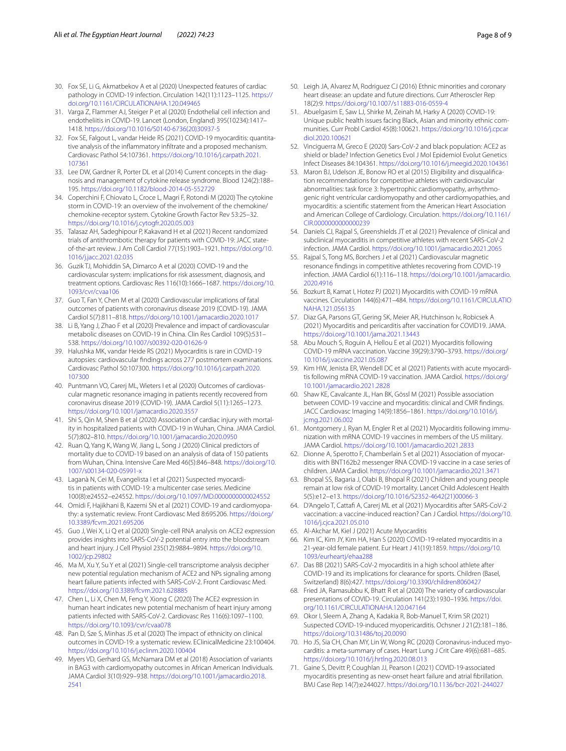- <span id="page-7-0"></span>30. Fox SE, Li G, Akmatbekov A et al (2020) Unexpected features of cardiac pathology in COVID-19 infection. Circulation 142(11):1123–1125. [https://](https://doi.org/10.1161/CIRCULATIONAHA.120.049465) [doi.org/10.1161/CIRCULATIONAHA.120.049465](https://doi.org/10.1161/CIRCULATIONAHA.120.049465)
- <span id="page-7-1"></span>31. Varga Z, Flammer AJ, Steiger P et al (2020) Endothelial cell infection and endotheliitis in COVID-19. Lancet (London, England) 395(10234):1417– 1418. [https://doi.org/10.1016/S0140-6736\(20\)30937-5](https://doi.org/10.1016/S0140-6736(20)30937-5)
- <span id="page-7-2"></span>32. Fox SE, Falgout L, vandar Heide RS (2021) COVID-19 myocarditis: quantitative analysis of the infammatory infltrate and a proposed mechanism. Cardiovasc Pathol 54:107361. [https://doi.org/10.1016/j.carpath.2021.](https://doi.org/10.1016/j.carpath.2021.107361) [107361](https://doi.org/10.1016/j.carpath.2021.107361)
- <span id="page-7-3"></span>33. Lee DW, Gardner R, Porter DL et al (2014) Current concepts in the diagnosis and management of cytokine release syndrome. Blood 124(2):188– 195. <https://doi.org/10.1182/blood-2014-05-552729>
- <span id="page-7-4"></span>34. Coperchini F, Chiovato L, Croce L, Magri F, Rotondi M (2020) The cytokine storm in COVID-19: an overview of the involvement of the chemokine/ chemokine-receptor system. Cytokine Growth Factor Rev 53:25–32. <https://doi.org/10.1016/j.cytogfr.2020.05.003>
- <span id="page-7-5"></span>35. Talasaz AH, Sadeghipour P, Kakavand H et al (2021) Recent randomized trials of antithrombotic therapy for patients with COVID-19: JACC stateof-the-art review. J Am Coll Cardiol 77(15):1903–1921. [https://doi.org/10.](https://doi.org/10.1016/j.jacc.2021.02.035) [1016/j.jacc.2021.02.035](https://doi.org/10.1016/j.jacc.2021.02.035)
- <span id="page-7-6"></span>36. Guzik TJ, Mohiddin SA, Dimarco A et al (2020) COVID-19 and the cardiovascular system: implications for risk assessment, diagnosis, and treatment options. Cardiovasc Res 116(10):1666–1687. [https://doi.org/10.](https://doi.org/10.1093/cvr/cvaa106) [1093/cvr/cvaa106](https://doi.org/10.1093/cvr/cvaa106)
- <span id="page-7-7"></span>37. Guo T, Fan Y, Chen M et al (2020) Cardiovascular implications of fatal outcomes of patients with coronavirus disease 2019 (COVID-19). JAMA Cardiol 5(7):811–818. <https://doi.org/10.1001/jamacardio.2020.1017>
- <span id="page-7-8"></span>38. Li B, Yang J, Zhao F et al (2020) Prevalence and impact of cardiovascular metabolic diseases on COVID-19 in China. Clin Res Cardiol 109(5):531– 538. <https://doi.org/10.1007/s00392-020-01626-9>
- <span id="page-7-9"></span>39. Halushka MK, vandar Heide RS (2021) Myocarditis is rare in COVID-19 autopsies: cardiovascular fndings across 277 postmortem examinations. Cardiovasc Pathol 50:107300. [https://doi.org/10.1016/j.carpath.2020.](https://doi.org/10.1016/j.carpath.2020.107300) [107300](https://doi.org/10.1016/j.carpath.2020.107300)
- <span id="page-7-10"></span>40. Puntmann VO, Carerj ML, Wieters I et al (2020) Outcomes of cardiovascular magnetic resonance imaging in patients recently recovered from coronavirus disease 2019 (COVID-19). JAMA Cardiol 5(11):1265–1273. <https://doi.org/10.1001/jamacardio.2020.3557>
- <span id="page-7-11"></span>41. Shi S, Qin M, Shen B et al (2020) Association of cardiac injury with mortality in hospitalized patients with COVID-19 in Wuhan, China. JAMA Cardiol. 5(7):802–810. <https://doi.org/10.1001/jamacardio.2020.0950>
- <span id="page-7-12"></span>42. Ruan Q, Yang K, Wang W, Jiang L, Song J (2020) Clinical predictors of mortality due to COVID-19 based on an analysis of data of 150 patients from Wuhan, China. Intensive Care Med 46(5):846–848. [https://doi.org/10.](https://doi.org/10.1007/s00134-020-05991-x) [1007/s00134-020-05991-x](https://doi.org/10.1007/s00134-020-05991-x)
- <span id="page-7-13"></span>43. Laganà N, Cei M, Evangelista I et al (2021) Suspected myocarditis in patients with COVID-19: a multicenter case series. Medicine 100(8):e24552–e24552.<https://doi.org/10.1097/MD.0000000000024552>
- <span id="page-7-14"></span>44. Omidi F, Hajikhani B, Kazemi SN et al (2021) COVID-19 and cardiomyopathy: a systematic review. Front Cardiovasc Med 8:695206. [https://doi.org/](https://doi.org/10.3389/fcvm.2021.695206) [10.3389/fcvm.2021.695206](https://doi.org/10.3389/fcvm.2021.695206)
- <span id="page-7-15"></span>45. Guo J, Wei X, Li Q et al (2020) Single-cell RNA analysis on ACE2 expression provides insights into SARS-CoV-2 potential entry into the bloodstream and heart injury. J Cell Physiol 235(12):9884–9894. [https://doi.org/10.](https://doi.org/10.1002/jcp.29802) [1002/jcp.29802](https://doi.org/10.1002/jcp.29802)
- <span id="page-7-17"></span>46. Ma M, Xu Y, Su Y et al (2021) Single-cell transcriptome analysis decipher new potential regulation mechanism of ACE2 and NPs signaling among heart failure patients infected with SARS-CoV-2. Front Cardiovasc Med. <https://doi.org/10.3389/fcvm.2021.628885>
- <span id="page-7-16"></span>47. Chen L, Li X, Chen M, Feng Y, Xiong C (2020) The ACE2 expression in human heart indicates new potential mechanism of heart injury among patients infected with SARS-CoV-2. Cardiovasc Res 116(6):1097–1100. <https://doi.org/10.1093/cvr/cvaa078>
- <span id="page-7-18"></span>48. Pan D, Sze S, Minhas JS et al (2020) The impact of ethnicity on clinical outcomes in COVID-19: a systematic review. EClinicalMedicine 23:100404. <https://doi.org/10.1016/j.eclinm.2020.100404>
- 49. Myers VD, Gerhard GS, McNamara DM et al (2018) Association of variants in BAG3 with cardiomyopathy outcomes in African American Individuals. JAMA Cardiol 3(10):929–938. [https://doi.org/10.1001/jamacardio.2018.](https://doi.org/10.1001/jamacardio.2018.2541) [2541](https://doi.org/10.1001/jamacardio.2018.2541)
- 50. Leigh JA, Alvarez M, Rodriguez CJ (2016) Ethnic minorities and coronary heart disease: an update and future directions. Curr Atheroscler Rep 18(2):9. <https://doi.org/10.1007/s11883-016-0559-4>
- 51. Abuelgasim E, Saw LJ, Shirke M, Zeinah M, Harky A (2020) COVID-19: Unique public health issues facing Black, Asian and minority ethnic communities. Curr Probl Cardiol 45(8):100621. [https://doi.org/10.1016/j.cpcar](https://doi.org/10.1016/j.cpcardiol.2020.100621) [diol.2020.100621](https://doi.org/10.1016/j.cpcardiol.2020.100621)
- <span id="page-7-19"></span>52. Vinciguerra M, Greco E (2020) Sars-CoV-2 and black population: ACE2 as shield or blade? Infection Genetics Evol J Mol Epidemiol Evolut Genetics Infect Diseases 84:104361. <https://doi.org/10.1016/j.meegid.2020.104361>
- <span id="page-7-20"></span>53. Maron BJ, Udelson JE, Bonow RO et al (2015) Eligibility and disqualification recommendations for competitive athletes with cardiovascular abnormalities: task force 3: hypertrophic cardiomyopathy, arrhythmogenic right ventricular cardiomyopathy and other cardiomyopathies, and myocarditis: a scientifc statement from the American Heart Association and American College of Cardiology. Circulation. [https://doi.org/10.1161/](https://doi.org/10.1161/CIR.0000000000000239) [CIR.0000000000000239](https://doi.org/10.1161/CIR.0000000000000239)
- <span id="page-7-21"></span>54. Daniels CJ, Rajpal S, Greenshields JT et al (2021) Prevalence of clinical and subclinical myocarditis in competitive athletes with recent SARS-CoV-2 infection. JAMA Cardiol. <https://doi.org/10.1001/jamacardio.2021.2065>
- <span id="page-7-22"></span>55. Rajpal S, Tong MS, Borchers J et al (2021) Cardiovascular magnetic resonance fndings in competitive athletes recovering from COVID-19 infection. JAMA Cardiol 6(1):116–118. [https://doi.org/10.1001/jamacardio.](https://doi.org/10.1001/jamacardio.2020.4916) [2020.4916](https://doi.org/10.1001/jamacardio.2020.4916)
- <span id="page-7-23"></span>56. Bozkurt B, Kamat I, Hotez PJ (2021) Myocarditis with COVID-19 mRNA vaccines. Circulation 144(6):471–484. [https://doi.org/10.1161/CIRCULATIO](https://doi.org/10.1161/CIRCULATIONAHA.121.056135) [NAHA.121.056135](https://doi.org/10.1161/CIRCULATIONAHA.121.056135)
- <span id="page-7-24"></span>57. Diaz GA, Parsons GT, Gering SK, Meier AR, Hutchinson Iv, Robicsek A (2021) Myocarditis and pericarditis after vaccination for COVID19. JAMA. <https://doi.org/10.1001/jama.2021.13443>
- <span id="page-7-25"></span>58. Abu Mouch S, Roguin A, Hellou E et al (2021) Myocarditis following COVID-19 mRNA vaccination. Vaccine 39(29):3790–3793. [https://doi.org/](https://doi.org/10.1016/j.vaccine.2021.05.087) [10.1016/j.vaccine.2021.05.087](https://doi.org/10.1016/j.vaccine.2021.05.087)
- <span id="page-7-27"></span>59. Kim HW, Jenista ER, Wendell DC et al (2021) Patients with acute myocarditis following mRNA COVID-19 vaccination. JAMA Cardiol. [https://doi.org/](https://doi.org/10.1001/jamacardio.2021.2828) [10.1001/jamacardio.2021.2828](https://doi.org/10.1001/jamacardio.2021.2828)
- <span id="page-7-28"></span>60. Shaw KE, Cavalcante JL, Han BK, Gössl M (2021) Possible association between COVID-19 vaccine and myocarditis: clinical and CMR fndings. JACC Cardiovasc Imaging 14(9):1856–1861. [https://doi.org/10.1016/j.](https://doi.org/10.1016/j.jcmg.2021.06.002) [jcmg.2021.06.002](https://doi.org/10.1016/j.jcmg.2021.06.002)
- <span id="page-7-26"></span>61. Montgomery J, Ryan M, Engler R et al (2021) Myocarditis following immu‑ nization with mRNA COVID-19 vaccines in members of the US military. JAMA Cardiol.<https://doi.org/10.1001/jamacardio.2021.2833>
- <span id="page-7-29"></span>62. Dionne A, Sperotto F, Chamberlain S et al (2021) Association of myocarditis with BNT162b2 messenger RNA COVID-19 vaccine in a case series of children. JAMA Cardiol. <https://doi.org/10.1001/jamacardio.2021.3471>
- <span id="page-7-30"></span>63. Bhopal SS, Bagaria J, Olabi B, Bhopal R (2021) Children and young people remain at low risk of COVID-19 mortality. Lancet Child Adolescent Health 5(5):e12–e13. [https://doi.org/10.1016/S2352-4642\(21\)00066-3](https://doi.org/10.1016/S2352-4642(21)00066-3)
- <span id="page-7-31"></span>64. D'Angelo T, Cattaf A, Carerj ML et al (2021) Myocarditis after SARS-CoV-2 vaccination: a vaccine-induced reaction? Can J Cardiol. [https://doi.org/10.](https://doi.org/10.1016/j.cjca.2021.05.010) [1016/j.cjca.2021.05.010](https://doi.org/10.1016/j.cjca.2021.05.010)
- <span id="page-7-32"></span>65. Al-Akchar M, Kiel J (2021) Acute Myocarditis
- <span id="page-7-33"></span>66. Kim IC, Kim JY, Kim HA, Han S (2020) COVID-19-related myocarditis in a 21-year-old female patient. Eur Heart J 41(19):1859. [https://doi.org/10.](https://doi.org/10.1093/eurheartj/ehaa288) [1093/eurheartj/ehaa288](https://doi.org/10.1093/eurheartj/ehaa288)
- <span id="page-7-34"></span>67. Das BB (2021) SARS-CoV-2 myocarditis in a high school athlete after COVID-19 and its implications for clearance for sports. Children (Basel, Switzerland) 8(6):427. <https://doi.org/10.3390/children8060427>
- <span id="page-7-35"></span>68. Fried JA, Ramasubbu K, Bhatt R et al (2020) The variety of cardiovascular presentations of COVID-19. Circulation 141(23):1930–1936. [https://doi.](https://doi.org/10.1161/CIRCULATIONAHA.120.047164) [org/10.1161/CIRCULATIONAHA.120.047164](https://doi.org/10.1161/CIRCULATIONAHA.120.047164)
- 69. Okor I, Sleem A, Zhang A, Kadakia R, Bob-Manuel T, Krim SR (2021) Suspected COVID-19-induced myopericarditis. Ochsner J 21(2):181–186. <https://doi.org/10.31486/toj.20.0090>
- <span id="page-7-36"></span>70. Ho JS, Sia CH, Chan MY, Lin W, Wong RC (2020) Coronavirus-induced myocarditis: a meta-summary of cases. Heart Lung J Crit Care 49(6):681–685. <https://doi.org/10.1016/j.hrtlng.2020.08.013>
- <span id="page-7-37"></span>71. Gaine S, Devitt P, Coughlan JJ, Pearson I (2021) COVID-19-associated myocarditis presenting as new-onset heart failure and atrial fbrillation. BMJ Case Rep 14(7):e244027.<https://doi.org/10.1136/bcr-2021-244027>